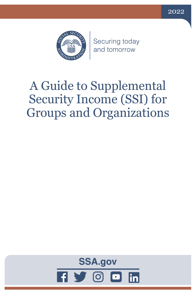



Securing today and tomorrow

# A Guide to Supplemental Security Income (SSI) for Groups and Organizations

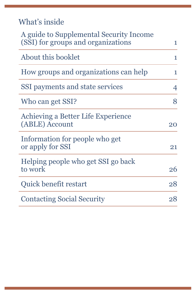What's inside

| A guide to Supplemental Security Income<br>(SSI) for groups and organizations | 1  |
|-------------------------------------------------------------------------------|----|
| About this booklet                                                            | 1  |
| How groups and organizations can help                                         | 1  |
| SSI payments and state services                                               | 4  |
| Who can get SSI?                                                              | 8  |
| Achieving a Better Life Experience<br>(ABLE) Account                          | 20 |
| Information for people who get<br>or apply for SSI                            | 21 |
| Helping people who get SSI go back<br>to work                                 | 26 |
| Quick benefit restart                                                         | 28 |
| <b>Contacting Social Security</b>                                             | 28 |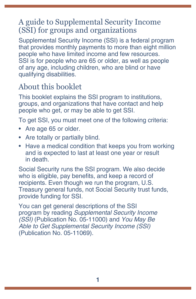# <span id="page-4-0"></span>A guide to Supplemental Security Income (SSI) for groups and organizations

Supplemental Security Income (SSI) is a federal program that provides monthly payments to more than eight million people who have limited income and few resources. SSI is for people who are 65 or older, as well as people of any age, including children, who are blind or have qualifying disabilities.

# About this booklet

This booklet explains the SSI program to institutions, groups, and organizations that have contact and help people who get, or may be able to get SSI.

To get SSI, you must meet one of the following criteria:

- Are age 65 or older.
- Are totally or partially blind.
- Have a medical condition that keeps you from working and is expected to last at least one year or result in death.

Social Security runs the SSI program. We also decide who is eligible, pay benefits, and keep a record of recipients. Even though we run the program, U.S. Treasury general funds, not Social Security trust funds, provide funding for SSI.

You can get general descriptions of the SSI program by reading *[Supplemental Security Income](https://www.ssa.gov/pubs/EN-05-11000.pdf)  (SSI)* [\(Publication No. 05-11000\)](https://www.ssa.gov/pubs/EN-05-11000.pdf) and *[You May Be](https://www.ssa.gov/pubs/EN-05-11069.pdf)  [Able to Get Supplemental Security Income \(SSI\)](https://www.ssa.gov/pubs/EN-05-11069.pdf)* [\(Publication No. 05-11069\)](https://www.ssa.gov/pubs/EN-05-11069.pdf).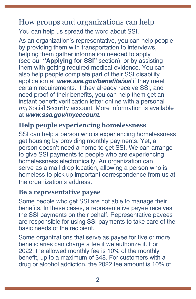### How groups and organizations can help You can help us spread the word about SSI.

As an organization's representative, you can help people by providing them with transportation to interviews, helping them gather information needed to apply (see our **["Applying for SSI"](#page-24-0)** section), or by assisting them with getting required medical evidence. You can also help people complete part of their SSI disability application at **[www.ssa.gov/benefits/ssi](https://www.ssa.gov/benefits/ssi)** if they meet certain requirements. If they already receive SSI, and need proof of their benefits, you can help them get an instant benefit verification letter online with a personal *my* Social Security account. More information is available at **[www.ssa.gov/myaccount](https://www.ssa.gov/myaccount/)**.

#### **Help people experiencing homelessness**

SSI can help a person who is experiencing homelessness get housing by providing monthly payments. Yet, a person doesn't need a home to get SSI. We can arrange to give SSI payments to people who are experiencing homelessness electronically. An organization can serve as a mail drop location, allowing a person who is homeless to pick up important correspondence from us at the organization's address.

#### **Be a representative payee**

Some people who get SSI are not able to manage their benefits. In these cases, a representative payee receives the SSI payments on their behalf. Representative payees are responsible for using SSI payments to take care of the basic needs of the recipient.

Some organizations that serve as payee for five or more beneficiaries can charge a fee if we authorize it. For 2022, the allowed monthly fee is 10% of the monthly benefit, up to a maximum of \$48. For customers with a drug or alcohol addiction, the 2022 fee amount is 10% of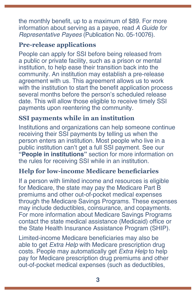the monthly benefit, up to a maximum of \$89. For more information about serving as a payee, read *[A Guide for](https://www.ssa.gov/pubs/EN-05-10076.pdf)  Representative Payees* [\(Publication No. 05-10076\).](https://www.ssa.gov/pubs/EN-05-10076.pdf)

#### **Pre-release applications**

People can apply for SSI before being released from a public or private facility, such as a prison or mental institution, to help ease their transition back into the community. An institution may establish a pre-release agreement with us. This agreement allows us to work with the institution to start the benefit application process several months before the person's scheduled release date. This will allow those eligible to receive timely SSI payments upon reentering the community.

### **SSI payments while in an institution**

Institutions and organizations can help someone continue receiving their SSI payments by telling us when the person enters an institution. Most people who live in a public institution can't get a full SSI payment. [See our](#page-22-0)  **["People in institutions"](#page-22-0)** section for more information on the rules for receiving SSI while in an institution.

#### **Help for low-income Medicare beneficiaries**

If a person with limited income and resources is eligible for Medicare, the state may pay the Medicare Part B premiums and other out-of-pocket medical expenses through the Medicare Savings Programs. These expenses may include deductibles, coinsurance, and copayments. For more information about Medicare Savings Programs contact the state medical assistance (Medicaid) office or the State Health Insurance Assistance Program (SHIP).

Limited-income Medicare beneficiaries may also be able to get *Extra Help* with Medicare prescription drug costs. People may automatically get *Extra Help* to help pay for Medicare prescription drug premiums and other out-of-pocket medical expenses (such as deductibles,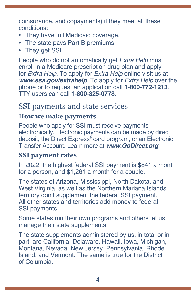<span id="page-7-0"></span>coinsurance, and copayments) if they meet all these conditions:

- They have full Medicaid coverage.
- The state pays Part B premiums.
- They get SSI.

People who do not automatically get *Extra Help* must enroll in a Medicare prescription drug plan and apply for *Extra Help*. To apply for *Extra Help* online visit us at *[w](https://www.ssa.gov/benefits/medicare/prescriptionhelp)***ww.ssa.gov/extrahelp**. To apply for *Extra Help* over the phone or to request an application call **1-800-772-1213**. TTY users can call **1-800-325-0778**.

## SSI payments and state services

#### **How we make payments**

People who apply for SSI must receive payments electronically. Electronic payments can be made by direct deposit, the Direct Express® card program, or an Electronic Transfer Account. Learn more at **[www.GoDirect.org](http://www.GoDirect.org)**.

#### **SSI payment rates**

In 2022, the highest federal SSI payment is \$841 a month for a person, and \$1,261 a month for a couple.

The states of Arizona, Mississippi, North Dakota, and West Virginia, as well as the Northern Mariana Islands territory don't supplement the federal SSI payment. All other states and territories add money to federal SSI payments.

Some states run their own programs and others let us manage their state supplements.

The state supplements administered by us, in total or in part, are California, Delaware, Hawaii, Iowa, Michigan, Montana, Nevada, New Jersey, Pennsylvania, Rhode Island, and Vermont. The same is true for the District of Columbia.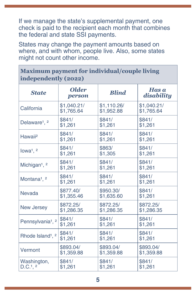<span id="page-8-0"></span>If we manage the state's supplemental payment, one check is paid to the recipient each month that combines the federal and state SSI payments.

States may change the payment amounts based on where, and with whom, people live. Also, some states might not count other income.

#### **Maximum payment for individual/couple living independently (2022)**

| <b>State</b>                             | <b>Older</b><br>person | <b>Blind</b> | Has a<br>disability |
|------------------------------------------|------------------------|--------------|---------------------|
| California                               | \$1,040.21/            | \$1,110.26/  | \$1,040.21/         |
|                                          | \$1,765.64             | \$1,952.88   | \$1,765.64          |
| Delaware <sup>1</sup> , <sup>2</sup>     | \$841/                 | \$841/       | \$841/              |
|                                          | \$1,261                | \$1,261      | \$1,261             |
| Hawaii <sup>2</sup>                      | \$841/                 | \$841/       | \$841/              |
|                                          | \$1,261                | \$1,261      | \$1,261             |
| lowa <sup>1</sup> , $2$                  | \$841/                 | \$863/       | \$841/              |
|                                          | \$1,261                | \$1,305      | \$1,261             |
| Michigan <sup>1</sup> , <sup>2</sup>     | \$841/                 | \$841/       | \$841/              |
|                                          | \$1,261                | \$1,261      | \$1,261             |
| Montana <sup>1</sup> , <sup>2</sup>      | \$841/                 | \$841/       | \$841/              |
|                                          | \$1,261                | \$1,261      | \$1,261             |
| Nevada                                   | \$877.40/              | \$950.30/    | \$841/              |
|                                          | \$1,355.46             | \$1,635.60   | \$1,261             |
| <b>New Jersey</b>                        | \$872.25/              | \$872.25/    | \$872.25/           |
|                                          | \$1,286.35             | \$1,286.35   | \$1,286.35          |
| Pennsylvania <sup>1</sup> , <sup>2</sup> | \$841/                 | \$841/       | \$841/              |
|                                          | \$1,261                | \$1,261      | \$1,261             |
| Rhode Island <sup>1</sup> , <sup>2</sup> | \$841/                 | \$841/       | \$841/              |
|                                          | \$1,261                | \$1,261      | \$1,261             |
| Vermont                                  | \$893.04/              | \$893.04/    | \$893.04/           |
|                                          | \$1,359.88             | \$1,359.88   | \$1,359.88          |
| Washington,                              | \$841/                 | \$841/       | \$841/              |
| D.C.1, 2                                 | \$1,261                | \$1,261      | \$1,261             |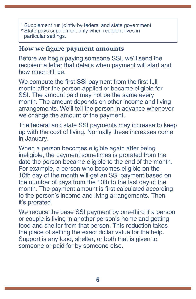- <sup>1</sup> Supplement run jointly by federal and state government.
- ² State pays supplement only when recipient lives in particular settings.

#### **How we figure payment amounts**

Before we begin paying someone SSI, we'll send the recipient a letter that details when payment will start and how much it'll be.

We compute the first SSI payment from the first full month after the person applied or became eligible for SSI. The amount paid may not be the same every month. The amount depends on other income and living arrangements. We'll tell the person in advance whenever we change the amount of the payment.

The federal and state SSI payments may increase to keep up with the cost of living. Normally these increases come in January.

When a person becomes eligible again after being ineligible, the payment sometimes is prorated from the date the person became eligible to the end of the month. For example, a person who becomes eligible on the 10th day of the month will get an SSI payment based on the number of days from the 10th to the last day of the month. The payment amount is first calculated according to the person's income and living arrangements. Then it's prorated.

We reduce the base SSI payment by one-third if a person or couple is living in another person's home and getting food and shelter from that person. This reduction takes the place of setting the exact dollar value for the help. Support is any food, shelter, or both that is given to someone or paid for by someone else.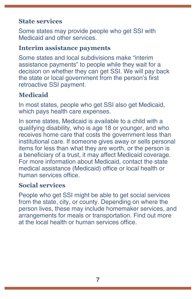#### **State services**

Some states may provide people who get SSI with Medicaid and other services.

#### **Interim assistance payments**

Some states and local subdivisions make "interim assistance payments" to people while they wait for a decision on whether they can get SSI. We will pay back the state or local government from the person's first retroactive SSI payment.

#### **Medicaid**

In most states, people who get SSI also get Medicaid, which pays health care expenses.

In some states, Medicaid is available to a child with a qualifying disability, who is age 18 or younger, and who receives home care that costs the government less than institutional care. If someone gives away or sells personal items for less than what they are worth, or the person is a beneficiary of a trust, it may affect Medicaid coverage. For more information about Medicaid, contact the state medical assistance (Medicaid) office or local health or human services office.

#### **Social services**

People who get SSI might be able to get social services from the state, city, or county. Depending on where the person lives, these may include homemaker services, and arrangements for meals or transportation. Find out more at the local health or human services office.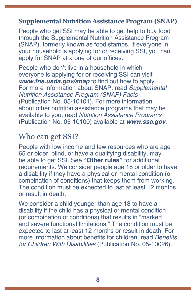#### <span id="page-11-0"></span>**Supplemental Nutrition Assistance Program (SNAP)**

People who get SSI may be able to get help to buy food through the Supplemental Nutrition Assistance Program (SNAP), formerly known as food stamps. If everyone in your household is applying for or receiving SSI, you can apply for SNAP at a one of our offices.

People who don't live in a household in which everyone is applying for or receiving SSI can visit **[www.fns.usda.gov/snap](https://www.fns.usda.gov/snap/supplemental-nutrition-assistance-program)** to find out how to apply. For more information about SNAP, read *[Supplemental](https://www.ssa.gov/pubs/EN-05-10101.pdf)  [Nutrition Assistance Program \(SNAP\) Facts](https://www.ssa.gov/pubs/EN-05-10101.pdf)* [\(Publication No. 05-10101\)](https://www.ssa.gov/pubs/EN-05-10101.pdf). For more information about other nutrition assistance programs that may be available to you, read *[Nutrition Assistance Programs](https://www.ssa.gov/pubs/EN-05-10100.pdf)* [\(Publication No. 05-10100\)](https://www.ssa.gov/pubs/EN-05-10100.pdf) available at *[www.ssa.gov](https://www.ssa.gov)*.

# Who can get SSI?

People with low income and few resources who are age 65 or older, blind, or have a qualifying disability, may be able to get SSI. See **["Other rules"](#page-20-0)** for additional requirements. We consider people age 18 or older to have a disability if they have a physical or mental condition (or combination of conditions) that keeps them from working. The condition must be expected to last at least 12 months or result in death.

We consider a child younger than age 18 to have a disability if the child has a physical or mental condition (or combination of conditions) that results in "marked and severe functional limitations." The condition must be expected to last at least 12 months or result in death. For more information about benefits for children, read Benefits *[for Children With Disabilities](https://www.ssa.gov/pubs/EN-05-10026.pdf)* (Publication No. 05-10026).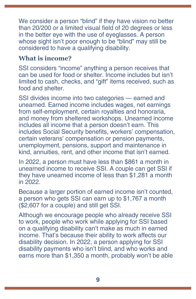We consider a person "blind" if they have vision no better than 20/200 or a limited visual field of 20 degrees or less in the better eye with the use of eyeglasses. A person whose sight isn't poor enough to be "blind" may still be considered to have a qualifying disability.

#### **What is income?**

SSI considers "income" anything a person receives that can be used for food or shelter. Income includes but isn't limited to cash, checks, and "gift" items received, such as food and shelter.

SSI divides income into two categories — earned and unearned. Earned income includes wages, net earnings from self-employment, certain royalties and honoraria, and money from sheltered workshops. Unearned income includes all income that a person doesn't earn. This includes Social Security benefits, workers' compensation, certain veterans' compensation or pension payments, unemployment, pensions, support and maintenance in kind, annuities, rent, and other income that isn't earned.

In 2022, a person must have less than \$861 a month in unearned income to receive SSI. A couple can get SSI if they have unearned income of less than \$1,281 a month in 2022.

Because a larger portion of earned income isn't counted, a person who gets SSI can earn up to \$1,767 a month (\$2,607 for a couple) and still get SSI.

Although we encourage people who already receive SSI to work, people who work while applying for SSI based on a qualifying disability can't make as much in earned income. That's because their ability to work affects our disability decision. In 2022, a person applying for SSI disability payments who isn't blind, and who works and earns more than \$1,350 a month, probably won't be able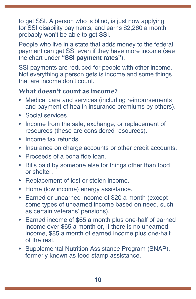to get SSI. A person who is blind, is just now applying for SSI disability payments, and earns \$2,260 a month probably won't be able to get SSI.

People who live in a state that adds money to the federal payment can get SSI even if they have more income [\(see](#page-8-0)  the chart under **["SSI payment rates](#page-8-0)"**).

SSI payments are reduced for people with other income. Not everything a person gets is income and some things that are income don't count.

#### **What doesn't count as income?**

- Medical care and services (including reimbursements and payment of health insurance premiums by others).
- Social services.
- Income from the sale, exchange, or replacement of resources (these are considered resources).
- Income tax refunds.
- Insurance on charge accounts or other credit accounts.
- Proceeds of a bona fide loan.
- Bills paid by someone else for things other than food or shelter.
- Replacement of lost or stolen income.
- Home (low income) energy assistance.
- Earned or unearned income of \$20 a month (except some types of unearned income based on need, such as certain veterans' pensions).
- Earned income of \$65 a month plus one-half of earned income over \$65 a month or, if there is no unearned income, \$85 a month of earned income plus one-half of the rest.
- Supplemental Nutrition Assistance Program (SNAP), formerly known as food stamp assistance.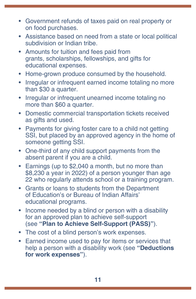- Government refunds of taxes paid on real property or on food purchases.
- Assistance based on need from a state or local political subdivision or Indian tribe.
- Amounts for tuition and fees paid from grants, scholarships, fellowships, and gifts for educational expenses.
- Home-grown produce consumed by the household.
- Irregular or infrequent earned income totaling no more than \$30 a quarter.
- Irregular or infrequent unearned income totaling no more than \$60 a quarter.
- Domestic commercial transportation tickets received as gifts and used.
- Payments for giving foster care to a child not getting SSI, but placed by an approved agency in the home of someone getting SSI.
- One-third of any child support payments from the absent parent if you are a child.
- Earnings (up to \$2,040 a month, but no more than \$8,230 a year in 2022) of a person younger than age 22 who regularly attends school or a training program.
- Grants or loans to students from the Department of Education's or Bureau of Indian Affairs' educational programs.
- Income needed by a blind or person with a disability for an approved plan to achieve self-support (see **"[Plan to Achieve Self-Support \(PASS\)](#page-30-0)"**).
- The cost of a blind person's work expenses.
- Earned income used to pay for items or services that help a person with a disability work (see **["Deductions](#page-29-0)  [for work expenses](#page-29-0)"**).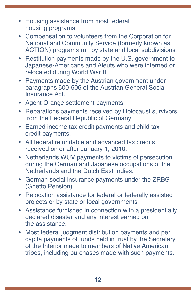- Housing assistance from most federal housing programs.
- Compensation to volunteers from the Corporation for National and Community Service (formerly known as ACTION) programs run by state and local subdivisions.
- Restitution payments made by the U.S. government to Japanese-Americans and Aleuts who were interned or relocated during World War II.
- Payments made by the Austrian government under paragraphs 500-506 of the Austrian General Social Insurance Act.
- Agent Orange settlement payments.
- Reparations payments received by Holocaust survivors from the Federal Republic of Germany.
- Earned income tax credit payments and child tax credit payments.
- All federal refundable and advanced tax credits received on or after January 1, 2010.
- Netherlands WUV payments to victims of persecution during the German and Japanese occupations of the Netherlands and the Dutch East Indies.
- German social insurance payments under the ZRBG (Ghetto Pension).
- Relocation assistance for federal or federally assisted projects or by state or local governments.
- Assistance furnished in connection with a presidentially declared disaster and any interest earned on the assistance.
- Most federal judgment distribution payments and per capita payments of funds held in trust by the Secretary of the Interior made to members of Native American tribes, including purchases made with such payments.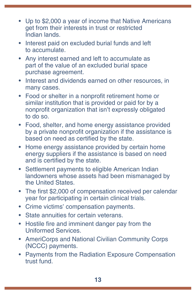- <span id="page-16-0"></span>• Up to \$2,000 a year of income that Native Americans get from their interests in trust or restricted Indian lands.
- Interest paid on excluded burial funds and left to accumulate.
- Any interest earned and left to accumulate as part of the value of an excluded burial space purchase agreement.
- Interest and dividends earned on other resources, in many cases.
- Food or shelter in a nonprofit retirement home or similar institution that is provided or paid for by a nonprofit organization that isn't expressly obligated to do so.
- Food, shelter, and home energy assistance provided by a private nonprofit organization if the assistance is based on need as certified by the state.
- Home energy assistance provided by certain home energy suppliers if the assistance is based on need and is certified by the state.
- Settlement payments to eligible American Indian landowners whose assets had been mismanaged by the United States.
- The first \$2,000 of compensation received per calendar year for participating in certain clinical trials.
- Crime victims' compensation payments.
- State annuities for certain veterans.
- Hostile fire and imminent danger pay from the Uniformed Services.
- AmeriCorps and National Civilian Community Corps (NCCC) payments.
- Payments from the Radiation Exposure Compensation trust fund.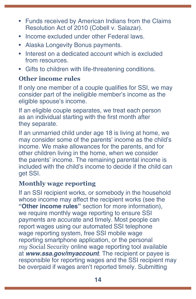- Funds received by American Indians from the Claims Resolution Act of 2010 (Cobell v. Salazar).
- Income excluded under other Federal laws.
- Alaska Longevity Bonus payments.
- Interest on a dedicated account which is excluded from resources.
- Gifts to children with life-threatening conditions.

#### **Other income rules**

If only one member of a couple qualifies for SSI, we may consider part of the ineligible member's income as the eligible spouse's income.

If an eligible couple separates, we treat each person as an individual starting with the first month after they separate.

If an unmarried child under age 18 is living at home, we may consider some of the parents' income as the child's income. We make allowances for the parents, and for other children living in the home, when we consider the parents' income. The remaining parental income is included with the child's income to decide if the child can get SSI.

#### **Monthly wage reporting**

If an SSI recipient works, or somebody in the househ[ol](#page-16-0)d whose income may affect the recipient works (see the **["Other income rules"](#page-16-0)** section for more information), we require monthly wage reporting to ensure SSI payments are accurate and timely. Most people can report wages using our automated SSI telephone wage reporting system, free SSI mobile wage reporting smartphone application, or the personal *my* Social Security online wage reporting tool available at **[www.ssa.gov/myaccount](https://www.ssa.gov/myaccount)**. The recipient or payee is responsible for reporting wages and the SSI recipient may be overpaid if wages aren't reported timely. Submitting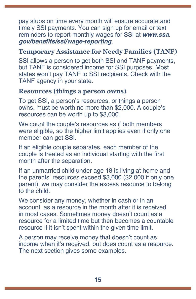pay stubs on time every month will ensure accurate and timely SSI payments. You can sign up for email or text reminders to report monthly wages for SSI at *[www.ssa.](https://www.ssa.gov/benefits/ssi/wage-reporting.html)* **[gov/benefits/ssi/wage-reporting](https://www.ssa.gov/benefits/ssi/wage-reporting.html)**.

#### **Temporary Assistance for Needy Families (TANF)**

SSI allows a person to get both SSI and TANF payments, but TANF is considered income for SSI purposes. Most states won't pay TANF to SSI recipients. Check with the TANF agency in your state.

#### **Resources (things a person owns)**

To get SSI, a person's resources, or things a person owns, must be worth no more than \$2,000. A couple's resources can be worth up to \$3,000.

We count the couple's resources as if both members were eligible, so the higher limit applies even if only one member can get SSI.

If an eligible couple separates, each member of the couple is treated as an individual starting with the first month after the separation.

If an unmarried child under age 18 is living at home and the parents' resources exceed \$3,000 (\$2,000 if only one parent), we may consider the excess resource to belong to the child.

We consider any money, whether in cash or in an account, as a resource in the month after it is received in most cases. Sometimes money doesn't count as a resource for a limited time but then becomes a countable resource if it isn't spent within the given time limit.

A person may receive money that doesn't count as income when it's received, but does count as a resource. The next section gives some examples.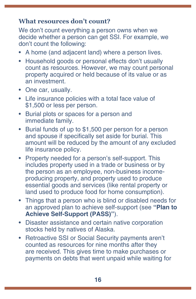#### **What resources don't count?**

We don't count everything a person owns when we decide whether a person can get SSI. For example, we don't count the following:

- A home (and adjacent land) where a person lives.
- Household goods or personal effects don't usually count as resources. However, we may count personal property acquired or held because of its value or as an investment.
- One car, usually.
- Life insurance policies with a total face value of \$1,500 or less per person.
- Burial plots or spaces for a person and immediate family.
- Burial funds of up to \$1,500 per person for a person and spouse if specifically set aside for burial. This amount will be reduced by the amount of any excluded life insurance policy.
- Property needed for a person's self-support. This includes property used in a trade or business or by the person as an employee, non-business incomeproducing property, and property used to produce essential goods and services (like rental property or land used to produce food for home consumption).
- Things that a person who is blind or disabled needs for an approved plan to achieve self-support (see **["Plan to](#page-30-0)  [Achieve Self-Support \(PASS\)"](#page-30-0)**).
- Disaster assistance and certain native corporation stocks held by natives of Alaska.
- Retroactive SSI or Social Security payments aren't counted as resources for nine months after they are received. This gives time to make purchases or payments on debts that went unpaid while waiting for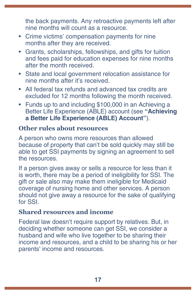<span id="page-20-0"></span>the back payments. Any retroactive payments left after nine months will count as a resource.

- Crime victims' compensation payments for nine months after they are received.
- Grants, scholarships, fellowships, and gifts for tuition and fees paid for education expenses for nine months after the month received.
- State and local government relocation assistance for nine months after it's received.
- All federal tax refunds and advanced tax credits are excluded for 12 months following the month received.
- Funds up to and including \$100,000 in an Achieving a Better Life Experience (ABLE) account (see **["Achieving](#page-23-0)  [a Better Life Experience \(ABLE\) Account](#page-23-0)"**).

#### **Other rules about resources**

A person who owns more resources than allowed because of property that can't be sold quickly may still be able to get SSI payments by signing an agreement to sell the resources.

If a person gives away or sells a resource for less than it is worth, there may be a period of ineligibility for SSI. The gift or sale also may make them ineligible for Medicaid coverage of nursing home and other services. A person should not give away a resource for the sake of qualifying for SSI.

#### **Shared resources and income**

Federal law doesn't require support by relatives. But, in deciding whether someone can get SSI, we consider a husband and wife who live together to be sharing their income and resources, and a child to be sharing his or her parents' income and resources.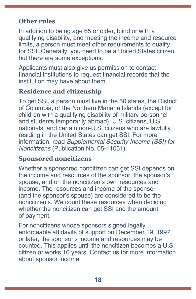#### **Other rules**

In addition to being age 65 or older, blind or with a qualifying disability, and meeting the income and resource limits, a person must meet other requirements to qualify for SSI. Generally, you need to be a United States citizen, but there are some exceptions.

Applicants must also give us permission to contact financial institutions to request financial records that the institution may have about them.

#### **Residence and citizenship**

To get SSI, a person must live in the 50 states, the District of Columbia, or the Northern Mariana Islands (except for children with a qualifying disability of military personnel and students temporarily abroad). U.S. citizens, U.S. nationals, and certain non-U.S. citizens who are lawfully residing in the United States can get SSI. For more information, read *[Supplemental Security Income \(SSI\) for](https://www.ssa.gov/pubs/EN-05-11051.pdf)  Noncitizens* [\(Publication No. 05-11051\).](https://www.ssa.gov/pubs/EN-05-11051.pdf)

#### **Sponsored noncitizens**

Whether a sponsored noncitizen can get SSI depends on the income and resources of the sponsor, the sponsor's spouse, and on the noncitizen's own resources and income. The resources and income of the sponsor (and the sponsor's spouse) are considered to be the noncitizen's. We count these resources when deciding whether the noncitizen can get SSI and the amount of payment.

For noncitizens whose sponsors signed legally enforceable affidavits of support on December 19, 1997, or later, the sponsor's income and resources may be counted. This applies until the noncitizen becomes a U.S. citizen or works 10 years. Contact us for more information about sponsor income.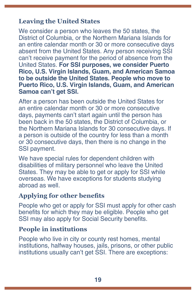#### <span id="page-22-0"></span>**Leaving the United States**

We consider a person who leaves the 50 states, the District of Columbia, or the Northern Mariana Islands for an entire calendar month or 30 or more consecutive days absent from the United States. Any person receiving SSI can't receive payment for the period of absence from the United States. **For SSI purposes, we consider Puerto Rico, U.S. Virgin Islands, Guam, and American Samoa to be outside the United States. People who move to Puerto Rico, U.S. Virgin Islands, Guam, and American Samoa can't get SSI.**

After a person has been outside the United States for an entire calendar month or 30 or more consecutive days, payments can't start again until the person has been back in the 50 states, the District of Columbia, or the Northern Mariana Islands for 30 consecutive days. If a person is outside of the country for less than a month or 30 consecutive days, then there is no change in the SSI payment.

We have special rules for dependent children with disabilities of military personnel who leave the United States. They may be able to get or apply for SSI while overseas. We have exceptions for students studying abroad as well.

#### **Applying for other benefits**

People who get or apply for SSI must apply for other cash benefits for which they may be eligible. People who get SSI may also apply for Social Security benefits.

#### **People in institutions**

People who live in city or county rest homes, mental institutions, halfway houses, jails, prisons, or other public institutions usually can't get SSI. There are exceptions: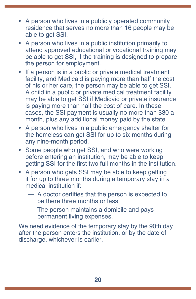- <span id="page-23-0"></span>• A person who lives in a publicly operated community residence that serves no more than 16 people may be able to get SSI.
- A person who lives in a public institution primarily to attend approved educational or vocational training may be able to get SSI, if the training is designed to prepare the person for employment.
- If a person is in a public or private medical treatment facility, and Medicaid is paying more than half the cost of his or her care, the person may be able to get SSI. A child in a public or private medical treatment facility may be able to get SSI if Medicaid or private insurance is paying more than half the cost of care. In these cases, the SSI payment is usually no more than \$30 a month, plus any additional money paid by the state.
- A person who lives in a public emergency shelter for the homeless can get SSI for up to six months during any nine-month period.
- Some people who get SSI, and who were working before entering an institution, may be able to keep getting SSI for the first two full months in the institution.
- A person who gets SSI may be able to keep getting it for up to three months during a temporary stay in a medical institution if:
	- A doctor certifies that the person is expected to be there three months or less.
	- The person maintains a domicile and pays permanent living expenses.

We need evidence of the temporary stay by the 90th day after the person enters the institution, or by the date of discharge, whichever is earlier.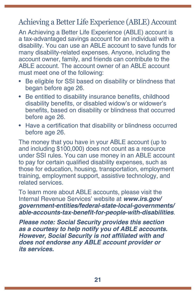## <span id="page-24-0"></span>Achieving a Better Life Experience (ABLE) Account

An Achieving a Better Life Experience (ABLE) account is a tax-advantaged savings account for an individual with a disability. You can use an ABLE account to save funds for many disability-related expenses. Anyone, including the account owner, family, and friends can contribute to the ABLE account. The account owner of an ABLE account must meet one of the following:

- Be eligible for SSI based on disability or blindness that began before age 26.
- Be entitled to disability insurance benefits, childhood disability benefits, or disabled widow's or widower's benefits, based on disability or blindness that occurred before age 26.
- Have a certification that disability or blindness occurred before age 26.

The money that you have in your ABLE account (up to and including \$100,000) does not count as a resource under SSI rules. You can use money in an ABLE account to pay for certain qualified disability expenses, such as those for education, housing, transportation, employment training, employment support, assistive technology, and related services.

To learn more about ABLE accounts, please visit the Internal Revenue Services' website at **[www.irs.gov/](https://www.irs.gov/government-entities/federal-state-local-governments/able-accounts-tax-benefit-for-people-with-disabilities) [government-entities/federal-state-local-governments/](https://www.irs.gov/government-entities/federal-state-local-governments/able-accounts-tax-benefit-for-people-with-disabilities) [able-accounts-tax-benefit-for-people-with-disabilities](https://www.irs.gov/government-entities/federal-state-local-governments/able-accounts-tax-benefit-for-people-with-disabilities)**.

**Please note: Social Security provides this section as a courtesy to help notify you of ABLE accounts. However, Social Security is not affiliated with and does not endorse any ABLE account provider or its services.**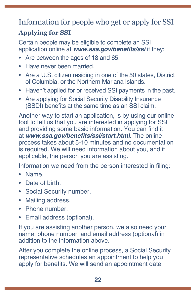# Information for people who get or apply for SSI

# **Applying for SSI**

Certain people may be eligible to complete an SSI application online at **[www.ssa.gov/benefits/s](https://www.ssa.gov/benefits/forms)si** if they:

- Are between the ages of 18 and 65.
- Have never been married.
- Are a U.S. citizen residing in one of the 50 states, District of Columbia, or the Northern Mariana Islands.
- Haven't applied for or received SSI payments in the past.
- Are applying for Social Security Disability Insurance (SSDI) benefits at the same time as an SSI claim.

Another way to start an application, is by using our online tool to tell us that you are interested in applying for SSI and providing some basic information. You can find it at **[www.ssa.gov/benefits/ssi/start.html](https://www.ssa.gov/benefits/ssi/start.html)**. The online process takes about 5-10 minutes and no documentation is required. We will need information about you, and if applicable, the person you are assisting.

Information we need from the person interested in filing:

- Name.
- Date of birth.
- Social Security number.
- Mailing address.
- Phone number.
- Email address (optional).

If you are assisting another person, we also need your name, phone number, and email address (optional) in addition to the information above.

After you complete the online process, a Social Security representative schedules an appointment to help you apply for benefits. We will send an appointment date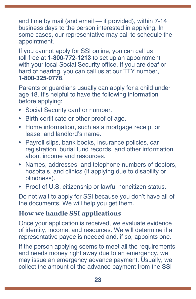and time by mail (and email — if provided), within 7-14 business days to the person interested in applying. In some cases, our representative may call to schedule the appointment.

If you cannot apply for SSI online, you can call us toll-free at **1-800-772-1213** to set up an appointment with your local Social Security office. If you are deaf or hard of hearing, you can call us at our TTY number, **1-800-325-0778**.

Parents or guardians usually can apply for a child under age 18. It's helpful to have the following information before applying:

- Social Security card or number.
- Birth certificate or other proof of age.
- Home information, such as a mortgage receipt or lease, and landlord's name.
- Payroll slips, bank books, insurance policies, car registration, burial fund records, and other information about income and resources.
- Names, addresses, and telephone numbers of doctors, hospitals, and clinics (if applying due to disability or blindness).
- Proof of U.S. citizenship or lawful noncitizen status.

Do not wait to apply for SSI because you don't have all of the documents. We will help you get them.

#### **How we handle SSI applications**

Once your application is received, we evaluate evidence of identity, income, and resources. We will determine if a representative payee is needed and, if so, appoints one.

If the person applying seems to meet all the requirements and needs money right away due to an emergency, we may issue an emergency advance payment. Usually, we collect the amount of the advance payment from the SSI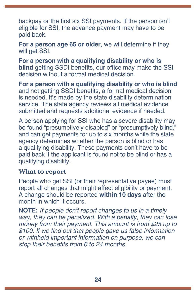backpay or the first six SSI payments. If the person isn't eligible for SSI, the advance payment may have to be paid back.

**For a person age 65 or older**, we will determine if they will get SSI.

**For a person with a qualifying disability or who is blind** getting SSDI benefits, our office may make the SSI decision without a formal medical decision.

**For a person with a qualifying disability or who is blind**  and not getting SSDI benefits, a formal medical decision is needed. It's made by the state disability determination service. The state agency reviews all medical evidence submitted and requests additional evidence if needed.

A person applying for SSI who has a severe disability may be found "presumptively disabled" or "presumptively blind," and can get payments for up to six months while the state agency determines whether the person is blind or has a qualifying disability. These payments don't have to be paid back if the applicant is found not to be blind or has a qualifying disability.

#### **What to report**

People who get SSI (or their representative payee) must report all changes that might affect eligibility or payment. A change should be reported **within 10 days** after the month in which it occurs.

**NOTE:** *If people don't report changes to us in a timely way, they can be penalized. With a penalty, they can lose money from their payment. This amount is from \$25 up to*  \$100. If we find out that people gave us false information *or withheld important information on purpose, we can*  stop their benefits from 6 to 24 months.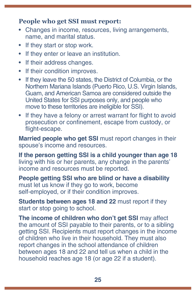#### **People who get SSI must report:**

- Changes in income, resources, living arrangements, name, and marital status.
- If they start or stop work.
- If they enter or leave an institution.
- If their address changes.
- If their condition improves.
- If they leave the 50 states, the District of Columbia, or the Northern Mariana Islands (Puerto Rico, U.S. Virgin Islands, Guam, and American Samoa are considered outside the United States for SSI purposes only, and people who move to these territories are ineligible for SSI).
- If they have a felony or arrest warrant for flight to avoid prosecution or confinement, escape from custody, or flight-escape.

**Married people who get SSI** must report changes in their spouse's income and resources.

**If the person getting SSI is a child younger than age 18** living with his or her parents, any change in the parents' income and resources must be reported.

**People getting SSI who are blind or have a disability** must let us know if they go to work, become self-employed, or if their condition improves.

**Students between ages 18 and 22** must report if they start or stop going to school.

**The income of children who don't get SSI** may affect the amount of SSI payable to their parents, or to a sibling getting SSI. Recipients must report changes in the income of children who live in their household. They must also report changes in the school attendance of children between ages 18 and 22 and tell us when a child in the household reaches age 18 (or age 22 if a student).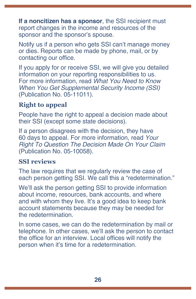<span id="page-29-0"></span>**If a noncitizen has a sponsor**, the SSI recipient must report changes in the income and resources of the sponsor and the sponsor's spouse.

Notify us if a person who gets SSI can't manage money or dies. Reports can be made by phone, mail, or by contacting our office.

If you apply for or receive SSI, we will give you detailed information on your reporting responsibilities to us. For more information, read *[What You Need to Know](https://www.ssa.gov/pubs/EN-05-11011.pdf)  [When You Get Supplemental Security Income \(SSI\)](https://www.ssa.gov/pubs/EN-05-11011.pdf)* [\(Publication No. 05-11011](https://www.ssa.gov/pubs/EN-05-11011.pdf)).

#### **Right to appeal**

People have the right to appeal a decision made about their SSI (except some state decisions).

If a person disagrees with the decision, they have 60 days to appeal. For more information, read *[Your](https://www.ssa.gov/pubs/EN-05-10058.pdf)  [Right To Question The Decision Made On Your Claim](https://www.ssa.gov/pubs/EN-05-10058.pdf)*  [\(Publication No. 05-10058\)](https://www.ssa.gov/pubs/EN-05-10058.pdf).

#### **SSI reviews**

The law requires that we regularly review the case of each person getting SSI. We call this a "redetermination."

We'll ask the person getting SSI to provide information about income, resources, bank accounts, and where and with whom they live. It's a good idea to keep bank account statements because they may be needed for the redetermination.

In some cases, we can do the redetermination by mail or telephone. In other cases, we'll ask the person to contact the office for an interview. Local offices will notify the person when it's time for a redetermination.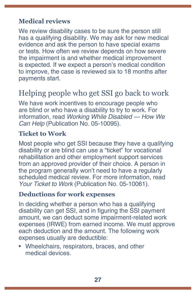#### <span id="page-30-0"></span>**Medical reviews**

We review disability cases to be sure the person still has a qualifying disability. We may ask for new medical evidence and ask the person to have special exams or tests. How often we review depends on how severe the impairment is and whether medical improvement is expected. If we expect a person's medical condition to improve, the case is reviewed six to 18 months after payments start.

# Helping people who get SSI go back to work

We have work incentives to encourage people who are blind or who have a disability to try to work. For information, read *[Working While Disabled — How We](https://www.ssa.gov/pubs/EN-05-10095.pdf)  Can Help* [\(Publication No. 05-10095\)](https://www.ssa.gov/pubs/EN-05-10095.pdf).

#### **Ticket to Work**

Most people who get SSI because they have a qualifying disability or are blind can use a "ticket" for vocational rehabilitation and other employment support services from an approved provider of their choice. A person in the program generally won't need to have a regularly scheduled medical review. For more information, read *Your Ticket to Work* [\(Publication No. 05-10061\).](https://www.ssa.gov/pubs/EN-05-10061.pdf)

#### **Deductions for work expenses**

In deciding whether a person who has a qualifying disability can get SSI, and in figuring the SSI payment amount, we can deduct some impairment-related work expenses (IRWE) from earned income. We must approve each deduction and the amount. The following work expenses usually are deductible:

• Wheelchairs, respirators, braces, and other medical devices.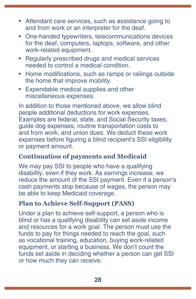- <span id="page-31-0"></span>• Attendant care services, such as assistance going to and from work or an interpreter for the deaf.
- One-handed typewriters, telecommunications devices for the deaf, computers, laptops, software, and other work-related equipment.
- Regularly prescribed drugs and medical services needed to control a medical condition.
- Home modifications, such as ramps or railings outside the home that improve mobility.
- Expendable medical supplies and other miscellaneous expenses.

In addition to those mentioned above, we allow blind people additional deductions for work expenses. Examples are federal, state, and Social Security taxes, guide dog expenses, routine transportation costs to and from work, and union dues. We deduct these work expenses before figuring a blind recipient's SSI eligibility or payment amount.

#### **Continuation of payments and Medicaid**

We may pay SSI to people who have a qualifying disability, even if they work. As earnings increase, we reduce the amount of the SSI payment. Even if a person's cash payments stop because of wages, the person may be able to keep Medicaid coverage.

#### **Plan to Achieve Self-Support (PASS)**

Under a plan to achieve self-support, a person who is blind or has a qualifying disability can set aside income and resources for a work goal. The person must use the funds to pay for things needed to reach the goal, such as vocational training, education, buying work-related equipment, or starting a business. We don't count the funds set aside in deciding whether a person can get SSI or how much they can receive.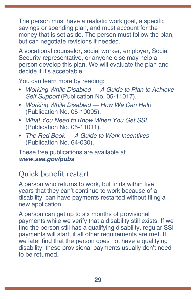The person must have a realistic work goal, a specific savings or spending plan, and must account for the money that is set aside. The person must follow the plan, but can negotiate revisions if needed.

A vocational counselor, social worker, employer, Social Security representative, or anyone else may help a person develop this plan. We will evaluate the plan and decide if it's acceptable.

You can learn more by reading:

- *[Working While Disabled A Guide to Plan to Achieve](https://www.ssa.gov/pubs/EN-05-11017.pdf)  Self Support* [\(Publication No. 05-11017\)](https://www.ssa.gov/pubs/EN-05-11017.pdf).
- *[Working While Disabled How We Can Help](https://www.ssa.gov/pubs/EN-05-10095.pdf)*  [\(Publication No. 05-10095\).](https://www.ssa.gov/pubs/EN-05-10095.pdf)
- *[What You Need to Know When You Get SSI](https://www.ssa.gov/pubs/EN-05-11011.pdf)*  [\(Publication No. 05-11011\).](https://www.ssa.gov/pubs/EN-05-11011.pdf)
- *[The Red Book A Guide to Work Incentives](https://www.ssa.gov/redbook/)* [\(Publication No. 64-030\)](https://www.ssa.gov/redbook/).

These free publications are available at **[www.ssa.gov/pubs](https://www.ssa.gov/pubs)**.

# Quick benefit restart

A person who returns to work, but finds within five years that they can't continue to work because of a disability, can have payments restarted without filing a new application.

A person can get up to six months of provisional payments while we verify that a disability still exists. If we find the person still has a qualifying disability, regular SSI payments will start, if all other requirements are met. If we later find that the person does not have a qualifying disability, these provisional payments usually don't need to be returned.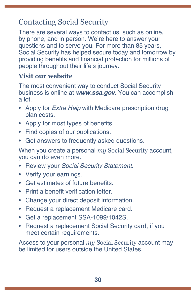# Contacting Social Security

There are several ways to contact us, such as online, by phone, and in person. We're here to answer your questions and to serve you. For more than 85 years, Social Security has helped secure today and tomorrow by providing benefits and financial protection for millions of people throughout their life's journey.

#### **Visit our website**

The most convenient way to conduct Social Security business is online at **[www.ssa.gov](https://www.ssa.gov/)**. You can accomplish a lot.

- Apply for *Extra Help* [with Medicare prescription drug](https://www.ssa.gov/i1020/)  [plan costs.](https://www.ssa.gov/i1020/)
- Apply for most types of [benefits](https://www.ssa.gov/applyforbenefits).
- Find copies of our [publications](https://www.ssa.gov/pubs/).
- Get answers to [frequently asked questions.](https://faq.ssa.gov/)

When you create a personal *my* [Social Security](https://www.ssa.gov/myaccount/) account, you can do even more.

- Review your *[Social Security Statement](https://www.ssa.gov/myaccount/statement.html)*.
- Verify [your earnings.](https://faq.ssa.gov/en-us/Topic/article/KA-01741)
- Get estimates of future benefits.
- Print a [benefit verification letter](https://www.ssa.gov/myaccount/proof-of-benefits.html).
- Change your [direct deposit](https://www.ssa.gov/myaccount/direct-deposit.html) information.
- Request a [replacement Medicare card](https://faq.ssa.gov/en-us/Topic/article/KA-01735).
- Get a [replacement SSA-1099/1042S](https://www.ssa.gov/myaccount/replacement-SSA-1099.html).
- Request a [replacement Social Security card](https://www.ssa.gov/myaccount/replacement-card.html), if you meet certain requirements.

Access to your personal *my* Social Security account may be limited for users outside the United States.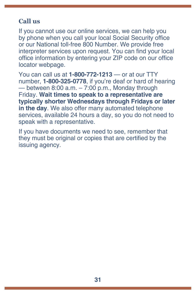#### **Call us**

If you cannot use our online services, we can help you by phone when you call your local Social Security office or our National toll-free 800 Number. We provide free interpreter services upon request. You can find your local office information by entering your ZIP code on our [office](https://secure.ssa.gov/ICON/main.jsp)  [locator](https://secure.ssa.gov/ICON/main.jsp) webpage.

You can call us at **1-800-772-1213** — or at our TTY number, **1-800-325-0778**, if you're deaf or hard of hearing — between  $8:00$  a.m.  $-7:00$  p.m., Monday through Friday. **Wait times to speak to a representative are typically shorter Wednesdays through Fridays or later in the day**. We also offer many automated telephone services, available 24 hours a day, so you do not need to speak with a representative.

If you have documents we need to see, remember that they must be original or copies that are certified by the issuing agency.